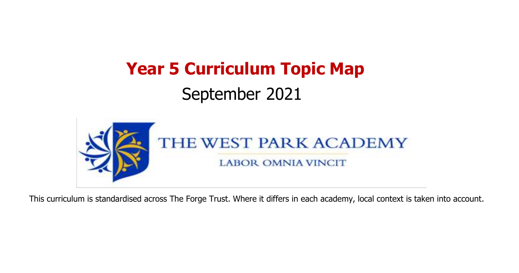# **Year 5 Curriculum Topic Map** September 2021



This curriculum is standardised across The Forge Trust. Where it differs in each academy, local context is taken into account.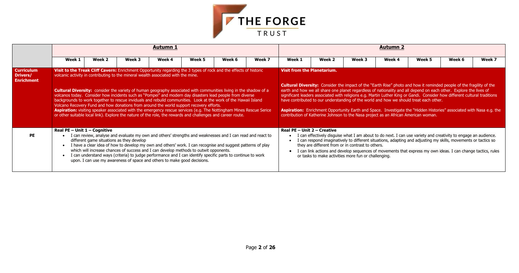

|                                                           |                                                                                                                                                                                                                                                                                                                                                                                                                                                                                                                                                                                                                                                                                                                                                                                                                                                                                                     |                                           |        | <b>Autumn 1</b>                                                                                                                                                   |        |                                                                                                                                                                                                                                                                                                                                          |        | <u>Autumn 2</u>               |                                                                                                                                                                                                                                                                                                                                                                                                                                                                                                                                                                                                                                                                                                                                |        |                                                                                                                                                                                                                                                                                                                                                  |        |        |        |  |  |  |  |
|-----------------------------------------------------------|-----------------------------------------------------------------------------------------------------------------------------------------------------------------------------------------------------------------------------------------------------------------------------------------------------------------------------------------------------------------------------------------------------------------------------------------------------------------------------------------------------------------------------------------------------------------------------------------------------------------------------------------------------------------------------------------------------------------------------------------------------------------------------------------------------------------------------------------------------------------------------------------------------|-------------------------------------------|--------|-------------------------------------------------------------------------------------------------------------------------------------------------------------------|--------|------------------------------------------------------------------------------------------------------------------------------------------------------------------------------------------------------------------------------------------------------------------------------------------------------------------------------------------|--------|-------------------------------|--------------------------------------------------------------------------------------------------------------------------------------------------------------------------------------------------------------------------------------------------------------------------------------------------------------------------------------------------------------------------------------------------------------------------------------------------------------------------------------------------------------------------------------------------------------------------------------------------------------------------------------------------------------------------------------------------------------------------------|--------|--------------------------------------------------------------------------------------------------------------------------------------------------------------------------------------------------------------------------------------------------------------------------------------------------------------------------------------------------|--------|--------|--------|--|--|--|--|
|                                                           | Week 1                                                                                                                                                                                                                                                                                                                                                                                                                                                                                                                                                                                                                                                                                                                                                                                                                                                                                              | Week 2                                    | Week 3 | Week 4                                                                                                                                                            | Week 5 | Week 6                                                                                                                                                                                                                                                                                                                                   | Week 7 | Week 1                        | Week 2                                                                                                                                                                                                                                                                                                                                                                                                                                                                                                                                                                                                                                                                                                                         | Week 3 | Week 4                                                                                                                                                                                                                                                                                                                                           | Week 5 | Week 6 | Week 7 |  |  |  |  |
| <b>Curriculum</b><br><b>Drivers/</b><br><b>Enrichment</b> | Visit to the Treak Cliff Cavern: Enrichment Opportunity regarding the 3 types of rock and the effects of historic<br>volcanic activity in contributing to the mineral wealth associated with the mine.<br><b>Cultural Diversity:</b> consider the variety of human geography associated with communities living in the shadow of a<br>volcanos today. Consider how incidents such as "Pompei" and modern day disasters lead people from diverse<br>backgrounds to work together to rescue inviduals and rebuild communities. Look at the work of the Hawaii Island<br>Volcano Recovery Fund and how donations from around the world support recovery efforts.<br>Aspiration: visiting speaker associated with the emergency rescue services (e.g. The Nottingham Mines Rescue Serice<br>or other suitable local link). Explore the nature of the role, the rewards and challenges and career route. |                                           |        |                                                                                                                                                                   |        |                                                                                                                                                                                                                                                                                                                                          |        |                               | <b>Visit from the Planetarium.</b><br><b>Cultural Diversity:</b> Consider the impact of the "Earth Rise" photo and how it reminded people of the fragility of the<br>earth and how we all share one planet regardless of nationality and all depend on each other. Explore the lives of<br>significant leaders associated with religions e.g. Martin Luther King or Gandi. Consider how different cultural traditions<br>have contributed to our understanding of the world and how we should treat each other.<br>Aspiration: Enrichment Opportunity Earth and Space. Investigate the "Hidden Histories" associated with Nasa e.g. the<br>contribution of Katherine Johnson to the Nasa project as an African American woman. |        |                                                                                                                                                                                                                                                                                                                                                  |        |        |        |  |  |  |  |
| <b>PE</b>                                                 | Real PE - Unit $1$ - Cognitive                                                                                                                                                                                                                                                                                                                                                                                                                                                                                                                                                                                                                                                                                                                                                                                                                                                                      | different game situations as they develop |        | which will increase chances of success and I can develop methods to outwit opponents.<br>upon. I can use my awareness of space and others to make good decisions. |        | I can review, analyse and evaluate my own and others' strengths and weaknesses and I can read and react to<br>I have a clear idea of how to develop my own and others' work. I can recognise and suggest patterns of play<br>I can understand ways (criteria) to judge performance and I can identify specific parts to continue to work |        | Real $PE$ – Unit 2 – Creative | they are different from or in contrast to others.<br>or tasks to make activities more fun or challenging.                                                                                                                                                                                                                                                                                                                                                                                                                                                                                                                                                                                                                      |        | I can effectively disguise what I am about to do next. I can use variety and creativity to engage an audience.<br>I can respond imaginatively to different situations, adapting and adjusting my skills, movements or tactics so<br>I can link actions and develop sequences of movements that express my own ideas. I can change tactics, rules |        |        |        |  |  |  |  |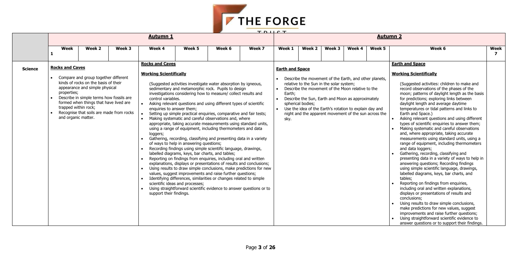

|                     |                                                                                      |                                                                                                                                                                                                                                                  |        | <b>Autumn 1</b>                                                                                                                                                                          |                                                                                                                                                                                                                                                                                                                                                                                                                                                                                                                                                                                                                                                                                                                                                                                                                                                                                                                                                                                                                                                                                                                                                                                                                                   |        |        | TDIICT<br><b>Autumn 2</b>                                                       |                   |                                                                                                                                                                                                                                                                                                                                    |        |        |                                                                                                                                                                                                                                                                                                                                                                                                                                                                                                                                                                                                                                                                                                                                                                                                                                                                                                                                                                                                                                                                                                                                                                                                                                                             |                |  |
|---------------------|--------------------------------------------------------------------------------------|--------------------------------------------------------------------------------------------------------------------------------------------------------------------------------------------------------------------------------------------------|--------|------------------------------------------------------------------------------------------------------------------------------------------------------------------------------------------|-----------------------------------------------------------------------------------------------------------------------------------------------------------------------------------------------------------------------------------------------------------------------------------------------------------------------------------------------------------------------------------------------------------------------------------------------------------------------------------------------------------------------------------------------------------------------------------------------------------------------------------------------------------------------------------------------------------------------------------------------------------------------------------------------------------------------------------------------------------------------------------------------------------------------------------------------------------------------------------------------------------------------------------------------------------------------------------------------------------------------------------------------------------------------------------------------------------------------------------|--------|--------|---------------------------------------------------------------------------------|-------------------|------------------------------------------------------------------------------------------------------------------------------------------------------------------------------------------------------------------------------------------------------------------------------------------------------------------------------------|--------|--------|-------------------------------------------------------------------------------------------------------------------------------------------------------------------------------------------------------------------------------------------------------------------------------------------------------------------------------------------------------------------------------------------------------------------------------------------------------------------------------------------------------------------------------------------------------------------------------------------------------------------------------------------------------------------------------------------------------------------------------------------------------------------------------------------------------------------------------------------------------------------------------------------------------------------------------------------------------------------------------------------------------------------------------------------------------------------------------------------------------------------------------------------------------------------------------------------------------------------------------------------------------------|----------------|--|
|                     |                                                                                      |                                                                                                                                                                                                                                                  |        |                                                                                                                                                                                          |                                                                                                                                                                                                                                                                                                                                                                                                                                                                                                                                                                                                                                                                                                                                                                                                                                                                                                                                                                                                                                                                                                                                                                                                                                   |        |        |                                                                                 |                   |                                                                                                                                                                                                                                                                                                                                    |        |        |                                                                                                                                                                                                                                                                                                                                                                                                                                                                                                                                                                                                                                                                                                                                                                                                                                                                                                                                                                                                                                                                                                                                                                                                                                                             |                |  |
|                     | Week                                                                                 | Week 2                                                                                                                                                                                                                                           | Week 3 | Week 4                                                                                                                                                                                   | Week 5                                                                                                                                                                                                                                                                                                                                                                                                                                                                                                                                                                                                                                                                                                                                                                                                                                                                                                                                                                                                                                                                                                                                                                                                                            | Week 6 | Week 7 | Week 1                                                                          | Week 2            | Week 3                                                                                                                                                                                                                                                                                                                             | Week 4 | Week 5 | Week 6                                                                                                                                                                                                                                                                                                                                                                                                                                                                                                                                                                                                                                                                                                                                                                                                                                                                                                                                                                                                                                                                                                                                                                                                                                                      | Week           |  |
|                     |                                                                                      |                                                                                                                                                                                                                                                  |        |                                                                                                                                                                                          |                                                                                                                                                                                                                                                                                                                                                                                                                                                                                                                                                                                                                                                                                                                                                                                                                                                                                                                                                                                                                                                                                                                                                                                                                                   |        |        |                                                                                 |                   |                                                                                                                                                                                                                                                                                                                                    |        |        |                                                                                                                                                                                                                                                                                                                                                                                                                                                                                                                                                                                                                                                                                                                                                                                                                                                                                                                                                                                                                                                                                                                                                                                                                                                             |                |  |
| 1<br><b>Science</b> | <b>Rocks and Caves</b><br>properties;<br>trapped within rock;<br>and organic matter. | Compare and group together different<br>kinds of rocks on the basis of their<br>appearance and simple physical<br>Describe in simple terms how fossils are<br>formed when things that have lived are<br>Recognise that soils are made from rocks |        | <b>Rocks and Caves</b><br><b>Working Scientifically</b><br>control variables.<br>enquiries to answer them;<br>$\bullet$<br>loggers;<br>$\bullet$<br>$\bullet$<br>support their findings. | (Suggested activities investigate water absorption by igneous,<br>sedimentary and metamorphic rock. Pupils to design<br>investigations considering how to measure/ collect results and<br>Asking relevant questions and using different types of scientific<br>Setting up simple practical enquiries, comparative and fair tests;<br>Making systematic and careful observations and, where<br>appropriate, taking accurate measurements using standard units,<br>using a range of equipment, including thermometers and data<br>Gathering, recording, classifying and presenting data in a variety<br>of ways to help in answering questions;<br>Recording findings using simple scientific language, drawings,<br>labelled diagrams, keys, bar charts, and tables;<br>Reporting on findings from enquiries, including oral and written<br>explanations, displays or presentations of results and conclusions;<br>Using results to draw simple conclusions, make predictions for new<br>values, suggest improvements and raise further questions;<br>Identifying differences, similarities or changes related to simple<br>scientific ideas and processes;<br>Using straightforward scientific evidence to answer questions or to |        |        | <b>Earth and Space</b><br>$\bullet$<br>$\bullet$<br>Earth;<br>$\bullet$<br>sky. | spherical bodies; | Describe the movement of the Earth, and other planets,<br>relative to the Sun in the solar system;<br>Describe the movement of the Moon relative to the<br>Describe the Sun, Earth and Moon as approximately<br>• Use the idea of the Earth's rotation to explain day and<br>night and the apparent movement of the sun across the |        |        | <b>Earth and Space</b><br><b>Working Scientifically</b><br>(Suggested activities: children to make and<br>record observations of the phases of the<br>moon; patterns of daylight length as the basis<br>for predictions; exploring links between<br>daylight length and average daytime<br>temperatures or tidal patterns and links to<br>Earth and Space.)<br>Asking relevant questions and using different<br>types of scientific enquiries to answer them;<br>Making systematic and careful observations<br>and, where appropriate, taking accurate<br>measurements using standard units, using a<br>range of equipment, including thermometers<br>and data loggers;<br>Gathering, recording, classifying and<br>presenting data in a variety of ways to help in<br>answering questions; Recording findings<br>using simple scientific language, drawings,<br>labelled diagrams, keys, bar charts, and<br>tables;<br>Reporting on findings from enquiries,<br>including oral and written explanations,<br>displays or presentations of results and<br>conclusions;<br>Using results to draw simple conclusions,<br>make predictions for new values, suggest<br>improvements and raise further questions;<br>Using straightforward scientific evidence to | $\overline{ }$ |  |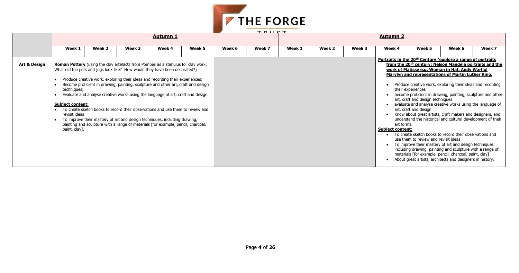| ш<br>-<br>٠<br>٠ |  |
|------------------|--|

#### **Portraits in the 20th Century (explore a range of portraits from the 20th century: Nelson Mandela portraits and the work of Matisse e.g. Woman in Hat, Andy Warhol Marylen Francis representations of Martin Luther King.**

- creative work, exploring their ideas and recording eriences
- proficient in drawing, painting, sculpture and other and design techniques
- and analyse creative works using the language of and design
- out great artists, craft makers and designers, and nd the historical and cultural development of their
- 
- $\overline{\mathbf{r}}$  sketch books to record their observations and to review and revisit ideas
- ve their mastery of art and design techniques, drawing, painting and sculpture with a range of  $[$  for example, pencil, charcoal, paint, clay]
- eat artists, architects and designers in history.



|                         |                                                                          |                                                                                                                                                                                                                                                                                                                                                                                                                                                                                                                                                                                                                                                                                     |        |                 |        |        | <b>TDIICT</b> |        |        |        |                                       |                                                                                                                        |                                                                                                                                                                                                                                                                                                                                                                                                                                                                                                                                                                                                                                                                                                                                                                                                                                                                        |        |  |  |
|-------------------------|--------------------------------------------------------------------------|-------------------------------------------------------------------------------------------------------------------------------------------------------------------------------------------------------------------------------------------------------------------------------------------------------------------------------------------------------------------------------------------------------------------------------------------------------------------------------------------------------------------------------------------------------------------------------------------------------------------------------------------------------------------------------------|--------|-----------------|--------|--------|---------------|--------|--------|--------|---------------------------------------|------------------------------------------------------------------------------------------------------------------------|------------------------------------------------------------------------------------------------------------------------------------------------------------------------------------------------------------------------------------------------------------------------------------------------------------------------------------------------------------------------------------------------------------------------------------------------------------------------------------------------------------------------------------------------------------------------------------------------------------------------------------------------------------------------------------------------------------------------------------------------------------------------------------------------------------------------------------------------------------------------|--------|--|--|
|                         |                                                                          |                                                                                                                                                                                                                                                                                                                                                                                                                                                                                                                                                                                                                                                                                     |        | <b>Autumn 1</b> |        |        |               |        |        |        |                                       |                                                                                                                        | <b>Autumn 2</b>                                                                                                                                                                                                                                                                                                                                                                                                                                                                                                                                                                                                                                                                                                                                                                                                                                                        |        |  |  |
|                         | Week 1                                                                   | Week 2                                                                                                                                                                                                                                                                                                                                                                                                                                                                                                                                                                                                                                                                              | Week 3 | Week 4          | Week 5 | Week 6 | Week 7        | Week 1 | Week 2 | Week 3 | Week 4                                | Week 5                                                                                                                 | Week 6                                                                                                                                                                                                                                                                                                                                                                                                                                                                                                                                                                                                                                                                                                                                                                                                                                                                 | Week 7 |  |  |
| <b>Art &amp; Design</b> | techniques;<br><b>Subject content:</b><br>revisit ideas<br>paint, clay]. | <b>Roman Pottery</b> (using the clay artefacts from Pompeii as a stimulus for clay work.<br>What did the pots and jugs look like? How would they have been decorated?)<br>Produce creative work, exploring their ideas and recording their experiences;<br>Become proficient in drawing, painting, sculpture and other art, craft and design<br>Evaluate and analyse creative works using the language of art, craft and design.<br>To create sketch books to record their observations and use them to review and<br>To improve their mastery of art and design techniques, including drawing,<br>painting and sculpture with a range of materials [for example, pencil, charcoal, |        |                 |        |        |               |        |        |        | art forms.<br><b>Subject content:</b> | their experiences<br>art, craft and design techniques<br>art, craft and design<br>use them to review and revisit ideas | Portraits in the 20 <sup>th</sup> Century (explore a range of portraits<br>from the 20 <sup>th</sup> century: Nelson Mandela portraits and t<br>work of Matisse e.g. Woman in Hat, Andy Warhol<br>Marylyn and representations of Martin Luther King.<br>Produce creative work, exploring their ideas and recordi<br>become proficient in drawing, painting, sculpture and ot<br>evaluate and analyse creative works using the language<br>Know about great artists, craft makers and designers, ar<br>understand the historical and cultural development of th<br>To create sketch books to record their observations and<br>To improve their mastery of art and design techniques,<br>including drawing, painting and sculpture with a range o<br>materials [for example, pencil, charcoal, paint, clay]<br>About great artists, architects and designers in history. |        |  |  |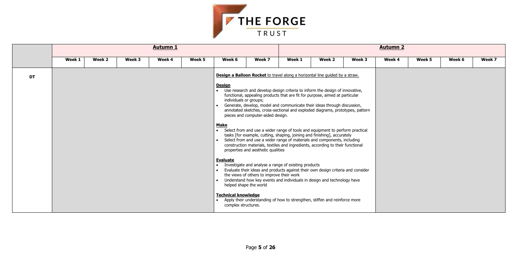| Week 5 | Week 6 | Week 7 |
|--------|--------|--------|
|        |        |        |
|        |        |        |
|        |        |        |
|        |        |        |
|        |        |        |
|        |        |        |
|        |        |        |
|        |        |        |
|        |        |        |
|        |        |        |
|        |        |        |
|        |        |        |
|        |        |        |
|        |        |        |



|           |        |        |        | <b>Autumn 1</b> |        |                                                                                                                  |                                                                                                                      |                                                                                                                                                                                                                                                                                                                                                                                                                                                                                                                                                                                                                                                                                                                                                                                                                                                                                        |        |        | <b>Autumn 2</b> |        |        |        |  |  |
|-----------|--------|--------|--------|-----------------|--------|------------------------------------------------------------------------------------------------------------------|----------------------------------------------------------------------------------------------------------------------|----------------------------------------------------------------------------------------------------------------------------------------------------------------------------------------------------------------------------------------------------------------------------------------------------------------------------------------------------------------------------------------------------------------------------------------------------------------------------------------------------------------------------------------------------------------------------------------------------------------------------------------------------------------------------------------------------------------------------------------------------------------------------------------------------------------------------------------------------------------------------------------|--------|--------|-----------------|--------|--------|--------|--|--|
|           | Week 1 | Week 2 | Week 3 | Week 4          | Week 5 | Week 6                                                                                                           | Week 7                                                                                                               | Week 1                                                                                                                                                                                                                                                                                                                                                                                                                                                                                                                                                                                                                                                                                                                                                                                                                                                                                 | Week 2 | Week 3 | Week 4          | Week 5 | Week 6 | Week 7 |  |  |
| <b>DT</b> |        |        |        |                 |        | <b>Design</b><br>individuals or groups;<br>$\bullet$<br><b>Make</b><br><b>Evaluate</b><br>$\bullet$<br>$\bullet$ | pieces and computer-aided design.<br>properties and aesthetic qualities<br>the views of others to improve their work | Design a Balloon Rocket to travel along a horizontal line quided by a straw.<br>• Use research and develop design criteria to inform the design of innovative,<br>functional, appealing products that are fit for purpose, aimed at particular<br>Generate, develop, model and communicate their ideas through discussion,<br>annotated sketches, cross-sectional and exploded diagrams, prototypes, pattern<br>• Select from and use a wider range of tools and equipment to perform practical<br>tasks [for example, cutting, shaping, joining and finishing], accurately<br>Select from and use a wider range of materials and components, including<br>construction materials, textiles and ingredients, according to their functional<br>Investigate and analyse a range of existing products<br>Evaluate their ideas and products against their own design criteria and consider |        |        |                 |        |        |        |  |  |
|           |        |        |        |                 |        | <b>Technical knowledge</b><br>complex structures.                                                                | helped shape the world                                                                                               | Understand how key events and individuals in design and technology have<br>• Apply their understanding of how to strengthen, stiffen and reinforce more                                                                                                                                                                                                                                                                                                                                                                                                                                                                                                                                                                                                                                                                                                                                |        |        |                 |        |        |        |  |  |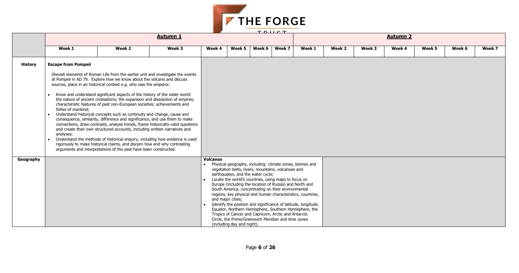| Week 5 | Week 6 | Week 7 |
|--------|--------|--------|
|        |        |        |
|        |        |        |
|        |        |        |
|        |        |        |
|        |        |        |
|        |        |        |
|        |        |        |
|        |        |        |
|        |        |        |
|        |        |        |
|        |        |        |
|        |        |        |
|        |        |        |
|        |        |        |
|        |        |        |
|        |        |        |
|        |        |        |



|                |                                                            |                                                                                                                                                                                                                                                                                                                                                                                                                                                                                                                                                                                                                                                                                                                                                                                                                                                                                                                                                                                                                                        |                 |                                                                                      |        |                                                                                                                                                                                                                                                                                                                                                                                                          | <b>TDUCT</b>                                                                                                                                                                            |        |        |        |                 |        |        |        |
|----------------|------------------------------------------------------------|----------------------------------------------------------------------------------------------------------------------------------------------------------------------------------------------------------------------------------------------------------------------------------------------------------------------------------------------------------------------------------------------------------------------------------------------------------------------------------------------------------------------------------------------------------------------------------------------------------------------------------------------------------------------------------------------------------------------------------------------------------------------------------------------------------------------------------------------------------------------------------------------------------------------------------------------------------------------------------------------------------------------------------------|-----------------|--------------------------------------------------------------------------------------|--------|----------------------------------------------------------------------------------------------------------------------------------------------------------------------------------------------------------------------------------------------------------------------------------------------------------------------------------------------------------------------------------------------------------|-----------------------------------------------------------------------------------------------------------------------------------------------------------------------------------------|--------|--------|--------|-----------------|--------|--------|--------|
|                |                                                            |                                                                                                                                                                                                                                                                                                                                                                                                                                                                                                                                                                                                                                                                                                                                                                                                                                                                                                                                                                                                                                        | <b>Autumn 1</b> |                                                                                      |        |                                                                                                                                                                                                                                                                                                                                                                                                          |                                                                                                                                                                                         |        |        |        | <b>Autumn 2</b> |        |        |        |
|                | Week 1                                                     | Week 2                                                                                                                                                                                                                                                                                                                                                                                                                                                                                                                                                                                                                                                                                                                                                                                                                                                                                                                                                                                                                                 | Week 3          | Week 4                                                                               | Week 5 | Week 6                                                                                                                                                                                                                                                                                                                                                                                                   | Week 7                                                                                                                                                                                  | Week 1 | Week 2 | Week 3 | Week 4          | Week 5 | Week 6 | Week 7 |
| <b>History</b> | <b>Escape from Pompeii</b>                                 |                                                                                                                                                                                                                                                                                                                                                                                                                                                                                                                                                                                                                                                                                                                                                                                                                                                                                                                                                                                                                                        |                 |                                                                                      |        |                                                                                                                                                                                                                                                                                                                                                                                                          |                                                                                                                                                                                         |        |        |        |                 |        |        |        |
|                | follies of mankind;<br>$\bullet$<br>analyses;<br>$\bullet$ | (Revisit elements of Roman Life from the earlier unit and investigate the events<br>at Pompeii in AD 79. Explore how we know about the volcano and discuss<br>sources, place in an historical context e.g. who was the emperor.<br>Know and understand significant aspects of the history of the wider world:<br>the nature of ancient civilisations; the expansion and dissolution of empires;<br>characteristic features of past non-European societies; achievements and<br>Understand historical concepts such as continuity and change, cause and<br>consequence, similarity, difference and significance, and use them to make<br>connections, draw contrasts, analyse trends, frame historically-valid questions<br>and create their own structured accounts, including written narratives and<br>Understand the methods of historical enquiry, including how evidence is used<br>rigorously to make historical claims, and discern how and why contrasting<br>arguments and interpretations of the past have been constructed. |                 |                                                                                      |        |                                                                                                                                                                                                                                                                                                                                                                                                          |                                                                                                                                                                                         |        |        |        |                 |        |        |        |
| Geography      |                                                            |                                                                                                                                                                                                                                                                                                                                                                                                                                                                                                                                                                                                                                                                                                                                                                                                                                                                                                                                                                                                                                        | <b>Volcanos</b> | earthquakes, and the water cycle;<br>and major cities;<br>(including day and night). |        | Physical geography, including: climate zones, biomes and<br>vegetation belts, rivers, mountains, volcanoes and<br>Locate the world's countries, using maps to focus on<br>Europe (including the location of Russia) and North and<br>South America, concentrating on their environmental<br>Tropics of Cancer and Capricorn, Arctic and Antarctic<br>Circle, the Prime/Greenwich Meridian and time zones | regions, key physical and human characteristics, countries,<br>Identify the position and significance of latitude, longitude,<br>Equator, Northern Hemisphere, Southern Hemisphere, the |        |        |        |                 |        |        |        |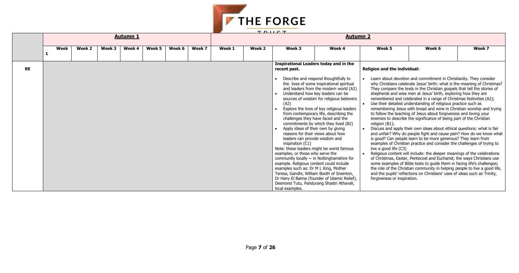| Week 6 | Week 7 |
|--------|--------|
|        |        |

and commitment in Christianity. They consider te Jesus' birth: what is the meaning of Christmas? s in the Christian gospels that tell the stories of en at Jesus' birth, exploring how they are rated in a range of Christmas festivities (A2); erstanding of religious practice such as th bread and wine in Christian worship and trying of Jesus about forgiveness and loving your e significance of being part of the Christian

own ideas about ethical questions: what is fair ople fight and cause pain? How do we know what arn to be more generous? They learn from practice and consider the challenges of trying to

nclude: the deeper meanings of the celebrations entecost and Eucharist; the ways Christians use e texts to guide them in facing life's challenges; the community in helping people to live a good life, ons on Christians' uses of ideas such as Trinity,



|           |      |        |        |                 |        |        |        | TDIICT          |        |                                                                                                                                                                                                     |                                                                                                                                                                                                                                                                                                                                                                                                                                                                                                                                                                                                                                                                                                         |                                                                                                               |                                                                                                                                                                                                                                                                                                                                                                                                                                                                                                                                                                                                                                                                                                                                                                                                                                                                                                                                                                                                                                                                                                                                                                                                                                                                               |        |  |  |  |
|-----------|------|--------|--------|-----------------|--------|--------|--------|-----------------|--------|-----------------------------------------------------------------------------------------------------------------------------------------------------------------------------------------------------|---------------------------------------------------------------------------------------------------------------------------------------------------------------------------------------------------------------------------------------------------------------------------------------------------------------------------------------------------------------------------------------------------------------------------------------------------------------------------------------------------------------------------------------------------------------------------------------------------------------------------------------------------------------------------------------------------------|---------------------------------------------------------------------------------------------------------------|-------------------------------------------------------------------------------------------------------------------------------------------------------------------------------------------------------------------------------------------------------------------------------------------------------------------------------------------------------------------------------------------------------------------------------------------------------------------------------------------------------------------------------------------------------------------------------------------------------------------------------------------------------------------------------------------------------------------------------------------------------------------------------------------------------------------------------------------------------------------------------------------------------------------------------------------------------------------------------------------------------------------------------------------------------------------------------------------------------------------------------------------------------------------------------------------------------------------------------------------------------------------------------|--------|--|--|--|
|           |      |        |        | <b>Autumn 1</b> |        |        |        | <b>Autumn 2</b> |        |                                                                                                                                                                                                     |                                                                                                                                                                                                                                                                                                                                                                                                                                                                                                                                                                                                                                                                                                         |                                                                                                               |                                                                                                                                                                                                                                                                                                                                                                                                                                                                                                                                                                                                                                                                                                                                                                                                                                                                                                                                                                                                                                                                                                                                                                                                                                                                               |        |  |  |  |
|           | Week | Week 2 | Week 3 | Week 4          | Week 5 | Week 6 | Week 7 | Week 1          | Week 2 | Week 3                                                                                                                                                                                              | Week 4                                                                                                                                                                                                                                                                                                                                                                                                                                                                                                                                                                                                                                                                                                  | Week 5                                                                                                        | Week 6                                                                                                                                                                                                                                                                                                                                                                                                                                                                                                                                                                                                                                                                                                                                                                                                                                                                                                                                                                                                                                                                                                                                                                                                                                                                        | Week 7 |  |  |  |
| <b>RE</b> |      |        |        |                 |        |        |        |                 |        | recent past.<br>(A2)<br>leaders can provide wisdom and<br>inspiration (C1)<br>examples, or those who serve the<br>example. Religious content could include<br>examples such as: Dr M L King, Mother | Inspirational Leaders today and in the<br>Describe and respond thoughtfully to<br>the lives of some inspirational spiritual<br>and leaders from the modern world (A2)<br>Understand how key leaders can be<br>sources of wisdom for religious believers<br>Explore the lives of key religious leaders<br>from contemporary life, describing the<br>challenges they have faced and the<br>commitments by which they lived (B2)<br>Apply ideas of their own by giving<br>reasons for their views about how<br>Note: these leaders might be world famous<br>community locally $\sim$ in Nottinghamshire for<br>Teresa, Gandhi, William Booth of Sneinton,<br>Dr Hany El Banna (founder of Islamic Relief), | <b>Religion and the individual:</b><br>religion (B1);<br>live a good life (C3)<br>forgiveness or inspiration. | Learn about devotion and commitment in Christianity. They cons<br>why Christians celebrate Jesus' birth: what is the meaning of Chr<br>They compare the texts in the Christian gospels that tell the stori<br>shepherds and wise men at Jesus' birth, exploring how they are<br>remembered and celebrated in a range of Christmas festivities (A<br>Use their detailed understanding of religious practice such as<br>remembering Jesus with bread and wine in Christian worship and<br>to follow the teaching of Jesus about forgiveness and loving your<br>enemies to describe the significance of being part of the Christian<br>Discuss and apply their own ideas about ethical questions: what<br>and unfair? Why do people fight and cause pain? How do we kno<br>is good? Can people learn to be more generous? They learn from<br>examples of Christian practice and consider the challenges of trying<br>Religious content will include: the deeper meanings of the celebr<br>of Christmas, Easter, Pentecost and Eucharist; the ways Christian<br>some examples of Bible texts to guide them in facing life's challer<br>the role of the Christian community in helping people to live a go<br>and the pupils' reflections on Christians' uses of ideas such as Tri |        |  |  |  |
|           |      |        |        |                 |        |        |        |                 |        | local examples.                                                                                                                                                                                     | Desmond Tutu, Pandurang Shastri Athavali,                                                                                                                                                                                                                                                                                                                                                                                                                                                                                                                                                                                                                                                               |                                                                                                               |                                                                                                                                                                                                                                                                                                                                                                                                                                                                                                                                                                                                                                                                                                                                                                                                                                                                                                                                                                                                                                                                                                                                                                                                                                                                               |        |  |  |  |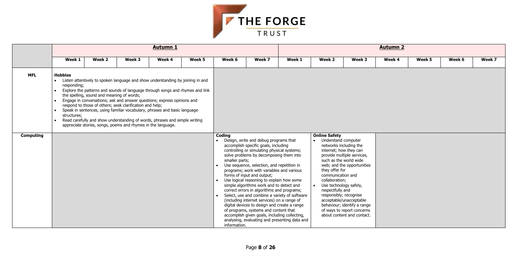| Week 5 | Week 6 | Week 7 |
|--------|--------|--------|
|        |        |        |
|        |        |        |
|        |        |        |
|        |        |        |
|        |        |        |
|        |        |        |
|        |        |        |
|        |        |        |
|        |        |        |
|        |        |        |
|        |        |        |
|        |        |        |
|        |        |        |
|        |        |        |
|        |        |        |
|        |        |        |



|                                |                                                                                     |                                                                                                                                                                                                                                                                                                                                                                                                                                                                                                                                                                                |        | <b>Autumn 1</b> |        |                                                                                                                                                                                                                                                                                                                                                                                                                                                                                                                                                                                          |                                                                                                                                                                                                                                                                                                                                                                                                                                | <b>Autumn 2</b> |                                                                                                     |                                                                                                                    |        |        |        |        |
|--------------------------------|-------------------------------------------------------------------------------------|--------------------------------------------------------------------------------------------------------------------------------------------------------------------------------------------------------------------------------------------------------------------------------------------------------------------------------------------------------------------------------------------------------------------------------------------------------------------------------------------------------------------------------------------------------------------------------|--------|-----------------|--------|------------------------------------------------------------------------------------------------------------------------------------------------------------------------------------------------------------------------------------------------------------------------------------------------------------------------------------------------------------------------------------------------------------------------------------------------------------------------------------------------------------------------------------------------------------------------------------------|--------------------------------------------------------------------------------------------------------------------------------------------------------------------------------------------------------------------------------------------------------------------------------------------------------------------------------------------------------------------------------------------------------------------------------|-----------------|-----------------------------------------------------------------------------------------------------|--------------------------------------------------------------------------------------------------------------------|--------|--------|--------|--------|
|                                | Week 1                                                                              | Week 2                                                                                                                                                                                                                                                                                                                                                                                                                                                                                                                                                                         | Week 3 | Week 4          | Week 5 | Week 6                                                                                                                                                                                                                                                                                                                                                                                                                                                                                                                                                                                   | Week 7                                                                                                                                                                                                                                                                                                                                                                                                                         | Week 1          | Week 2                                                                                              | Week 3                                                                                                             | Week 4 | Week 5 | Week 6 | Week 7 |
| <b>MFL</b><br><b>Computing</b> | <b>Hobbies</b><br>$\bullet$<br>responding;<br>$\bullet$<br>structures;<br>$\bullet$ | Listen attentively to spoken language and show understanding by joining in and<br>Explore the patterns and sounds of language through songs and rhymes and link<br>the spelling, sound and meaning of words;<br>Engage in conversations; ask and answer questions; express opinions and<br>respond to those of others; seek clarification and help;<br>Speak in sentences, using familiar vocabulary, phrases and basic language<br>Read carefully and show understanding of words, phrases and simple writing<br>appreciate stories, songs, poems and rhymes in the language. |        |                 |        | <b>Online Safety</b><br>Coding<br>Design, write and debug programs that<br>• Understand computer<br>$\bullet$<br>accomplish specific goals, including<br>networks including the<br>controlling or simulating physical systems;<br>internet; how they can<br>solve problems by decomposing them into<br>provide multiple services,<br>such as the world wide<br>smaller parts;<br>Use sequence, selection, and repetition in<br>web; and the opportunities<br>$\bullet$<br>programs; work with variables and various<br>they offer for<br>forms of input and output;<br>communication and |                                                                                                                                                                                                                                                                                                                                                                                                                                |                 |                                                                                                     |                                                                                                                    |        |        |        |        |
|                                |                                                                                     |                                                                                                                                                                                                                                                                                                                                                                                                                                                                                                                                                                                |        |                 |        | information.                                                                                                                                                                                                                                                                                                                                                                                                                                                                                                                                                                             | Use logical reasoning to explain how some<br>simple algorithms work and to detect and<br>correct errors in algorithms and programs;<br>Select, use and combine a variety of software<br>(including internet services) on a range of<br>digital devices to design and create a range<br>of programs, systems and content that<br>accomplish given goals, including collecting,<br>analysing, evaluating and presenting data and |                 | collaboration;<br>Use technology safely,<br>$\bullet$<br>respectfully and<br>responsibly; recognise | acceptable/unacceptable<br>behaviour; identify a range<br>of ways to report concerns<br>about content and contact. |        |        |        |        |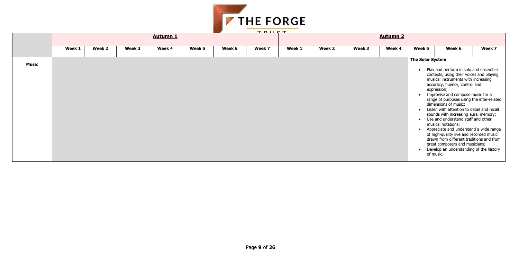

|              |        |        |        |                 |        |        | TDUCT  |        |        |        |                 |                         |                                                                                                                                                                                                                                                                                                                                                                                                                                                                                                                                                                                                                                                                  |        |
|--------------|--------|--------|--------|-----------------|--------|--------|--------|--------|--------|--------|-----------------|-------------------------|------------------------------------------------------------------------------------------------------------------------------------------------------------------------------------------------------------------------------------------------------------------------------------------------------------------------------------------------------------------------------------------------------------------------------------------------------------------------------------------------------------------------------------------------------------------------------------------------------------------------------------------------------------------|--------|
|              |        |        |        | <b>Autumn 1</b> |        |        |        |        |        |        | <b>Autumn 2</b> |                         |                                                                                                                                                                                                                                                                                                                                                                                                                                                                                                                                                                                                                                                                  |        |
|              | Week 1 | Week 2 | Week 3 | Week 4          | Week 5 | Week 6 | Week 7 | Week 1 | Week 2 | Week 3 | Week 4          | Week 5                  | Week 6                                                                                                                                                                                                                                                                                                                                                                                                                                                                                                                                                                                                                                                           | Week 7 |
| <b>Music</b> |        |        |        |                 |        |        |        |        |        |        |                 | <b>The Solar System</b> | Play and perform in solo and ensemble<br>contexts, using their voices and playing<br>musical instruments with increasing<br>accuracy, fluency, control and<br>expression;<br>Improvise and compose music for a<br>range of purposes using the inter-related<br>dimensions of music;<br>Listen with attention to detail and recall<br>sounds with increasing aural memory;<br>Use and understand staff and other<br>musical notations;<br>Appreciate and understand a wide range<br>of high-quality live and recorded music<br>drawn from different traditions and from<br>great composers and musicians;<br>Develop an understanding of the history<br>of music. |        |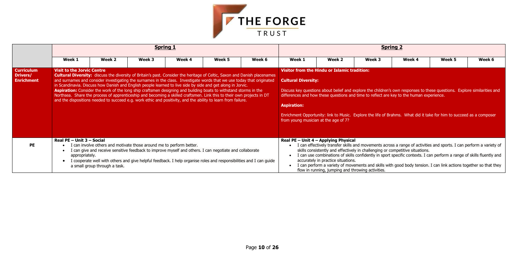

|                                                    |                                             |                               |                                                                                                                                                                                                                                                                                                                                                                                                                                                                                                                                                                                                                                                                                                                                         | <b>Spring 1</b> |        |        |                                                                                          |                                                                                                                                     |                                                                                          | <b>Spring 2</b> |                                                                                                                                                                                                                                                                                                                                                                  |        |
|----------------------------------------------------|---------------------------------------------|-------------------------------|-----------------------------------------------------------------------------------------------------------------------------------------------------------------------------------------------------------------------------------------------------------------------------------------------------------------------------------------------------------------------------------------------------------------------------------------------------------------------------------------------------------------------------------------------------------------------------------------------------------------------------------------------------------------------------------------------------------------------------------------|-----------------|--------|--------|------------------------------------------------------------------------------------------|-------------------------------------------------------------------------------------------------------------------------------------|------------------------------------------------------------------------------------------|-----------------|------------------------------------------------------------------------------------------------------------------------------------------------------------------------------------------------------------------------------------------------------------------------------------------------------------------------------------------------------------------|--------|
|                                                    | Week 1                                      | Week 2                        | Week 3                                                                                                                                                                                                                                                                                                                                                                                                                                                                                                                                                                                                                                                                                                                                  | Week 4          | Week 5 | Week 6 | Week 1                                                                                   | Week 2                                                                                                                              | Week 3                                                                                   | Week 4          | Week 5                                                                                                                                                                                                                                                                                                                                                           | Week 6 |
| <b>Curriculum</b><br>Drivers/<br><b>Enrichment</b> | <b>Visit to the Jorvic Centre</b>           |                               | <b>Cultural Diversity:</b> discuss the diversity of Britain's past. Consider the heritage of Celtic, Saxon and Danish placenames<br>and surnames and consider investigating the surnames in the class. Investigate words that we use today that originated<br>in Scandinavia. Discuss how Danish and English people learned to live side by side and get along in Jorvic.<br>Aspiration: Consider the work of the long ship craftsmen designing and building boats to withstand storms in the<br>Northsea. Share the process of apprenticeship and becoming a skilled craftsmen. Link this to their own projects in DT<br>and the dispositions needed to succeed e.g. work ethic and positivity, and the ability to learn from failure. |                 |        |        | <b>Cultural Diversity:</b><br><b>Aspiration:</b><br>from young musician at the age of 7? | <b>Visitor from the Hindu or Islamic tradition:</b>                                                                                 | differences and how these questions and time to reflect are key to the human experience. |                 | Discuss key questions about belief and explore the children's own responses to these questions. Explore similarities and<br>Enrichment Opportunity: link to Music. Explore the life of Brahms. What did it take for him to succeed as a composer                                                                                                                 |        |
| <b>PE</b>                                          | Real PE - Unit 3 - Social<br>appropriately. | a small group through a task. | I can involve others and motivate those around me to perform better.<br>I can give and receive sensitive feedback to improve myself and others. I can negotiate and collaborate<br>I cooperate well with others and give helpful feedback. I help organise roles and responsibilities and I can guide                                                                                                                                                                                                                                                                                                                                                                                                                                   |                 |        |        |                                                                                          | Real PE $-$ Unit 4 $-$ Applying Physical<br>accurately in practice situations.<br>flow in running, jumping and throwing activities. | skills consistently and effectively in challenging or competitive situations.            |                 | I can effectively transfer skills and movements across a range of activities and sports. I can perform a variety of<br>I can use combinations of skills confidently in sport specific contexts. I can perform a range of skills fluently and<br>I can perform a variety of movements and skills with good body tension. I can link actions together so that they |        |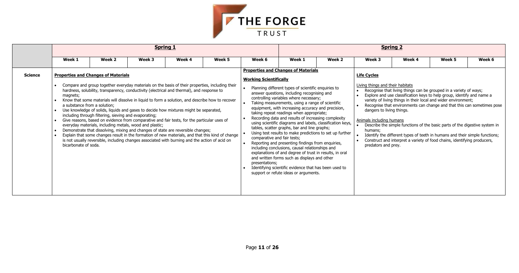

|                |                                                                  |                                                                                                                                                                                                                                                                                                                                                                                                                                                                                                                                                                                                                                                                                                                                                                                                                                                   |        | <b>Spring 1</b> |                                                                                                  |                                                                                |                                                                                                                                                                                                                                                                                                                                                                                                                                                                                                                                                                                                                                                                                                                                                                                                                                                                                                        |        |                                                                                                                                                   | <b>Spring 2</b> |                                                                                                                                                                                                                                                                                                                                                                                                                                                                                                                          |        |
|----------------|------------------------------------------------------------------|---------------------------------------------------------------------------------------------------------------------------------------------------------------------------------------------------------------------------------------------------------------------------------------------------------------------------------------------------------------------------------------------------------------------------------------------------------------------------------------------------------------------------------------------------------------------------------------------------------------------------------------------------------------------------------------------------------------------------------------------------------------------------------------------------------------------------------------------------|--------|-----------------|--------------------------------------------------------------------------------------------------|--------------------------------------------------------------------------------|--------------------------------------------------------------------------------------------------------------------------------------------------------------------------------------------------------------------------------------------------------------------------------------------------------------------------------------------------------------------------------------------------------------------------------------------------------------------------------------------------------------------------------------------------------------------------------------------------------------------------------------------------------------------------------------------------------------------------------------------------------------------------------------------------------------------------------------------------------------------------------------------------------|--------|---------------------------------------------------------------------------------------------------------------------------------------------------|-----------------|--------------------------------------------------------------------------------------------------------------------------------------------------------------------------------------------------------------------------------------------------------------------------------------------------------------------------------------------------------------------------------------------------------------------------------------------------------------------------------------------------------------------------|--------|
|                | Week 1                                                           | Week 2                                                                                                                                                                                                                                                                                                                                                                                                                                                                                                                                                                                                                                                                                                                                                                                                                                            | Week 3 | Week 4          | Week 5                                                                                           | Week 6                                                                         | Week 1                                                                                                                                                                                                                                                                                                                                                                                                                                                                                                                                                                                                                                                                                                                                                                                                                                                                                                 | Week 2 | Week 3                                                                                                                                            | Week 4          | Week 5                                                                                                                                                                                                                                                                                                                                                                                                                                                                                                                   | Week 6 |
| <b>Science</b> | magnets;<br>a substance from a solution;<br>bicarbonate of soda. | <b>Properties and Changes of Materials</b><br>Compare and group together everyday materials on the basis of their properties, including their<br>hardness, solubility, transparency, conductivity (electrical and thermal), and response to<br>Know that some materials will dissolve in liquid to form a solution, and describe how to recover<br>Use knowledge of solids, liquids and gases to decide how mixtures might be separated,<br>including through filtering, sieving and evaporating;<br>Give reasons, based on evidence from comparative and fair tests, for the particular uses of<br>everyday materials, including metals, wood and plastic;<br>Demonstrate that dissolving, mixing and changes of state are reversible changes;<br>is not usually reversible, including changes associated with burning and the action of acid on |        |                 | Explain that some changes result in the formation of new materials, and that this kind of change | <b>Working Scientifically</b><br>comparative and fair tests;<br>presentations; | <b>Properties and Changes of Materials</b><br>Planning different types of scientific enquiries to<br>answer questions, including recognising and<br>controlling variables where necessary;<br>Taking measurements, using a range of scientific<br>equipment, with increasing accuracy and precision,<br>taking repeat readings when appropriate;<br>Recording data and results of increasing complexity<br>using scientific diagrams and labels, classification keys,<br>tables, scatter graphs, bar and line graphs;<br>Using test results to make predictions to set up further<br>Reporting and presenting findings from enquiries,<br>including conclusions, causal relationships and<br>explanations of and degree of trust in results, in oral<br>and written forms such as displays and other<br>Identifying scientific evidence that has been used to<br>support or refute ideas or arguments. |        | <b>Life Cycles</b><br>Living things and their habitats<br>dangers to living things.<br>Animals including humans<br>humans:<br>predators and prey. |                 | Recognise that living things can be grouped in a variety of ways;<br>Explore and use classification keys to help group, identify and name a<br>variety of living things in their local and wider environment;<br>Recognise that environments can change and that this can sometimes<br>Describe the simple functions of the basic parts of the digestive system<br>Identify the different types of teeth in humans and their simple function<br>Construct and interpret a variety of food chains, identifying producers, |        |

|                                                                                                             | Spring 2                                                                                                                                                                                                                                                                                 |        |        |
|-------------------------------------------------------------------------------------------------------------|------------------------------------------------------------------------------------------------------------------------------------------------------------------------------------------------------------------------------------------------------------------------------------------|--------|--------|
| Week 3                                                                                                      | Week 4                                                                                                                                                                                                                                                                                   | Week 5 | Week 6 |
| <u> Life Cycles</u>                                                                                         |                                                                                                                                                                                                                                                                                          |        |        |
| <u>Living things and their habitats</u><br>$\bullet$<br>$\bullet$<br>$\bullet$<br>dangers to living things. | Recognise that living things can be grouped in a variety of ways;<br>Explore and use classification keys to help group, identify and name a<br>variety of living things in their local and wider environment;<br>Recognise that environments can change and that this can sometimes pose |        |        |
| Animals including humans<br>$\bullet$<br>humans:<br>$\bullet$<br>predators and prey.                        | Describe the simple functions of the basic parts of the digestive system in<br>Identify the different types of teeth in humans and their simple functions;<br>Construct and interpret a variety of food chains, identifying producers,                                                   |        |        |
|                                                                                                             |                                                                                                                                                                                                                                                                                          |        |        |
|                                                                                                             |                                                                                                                                                                                                                                                                                          |        |        |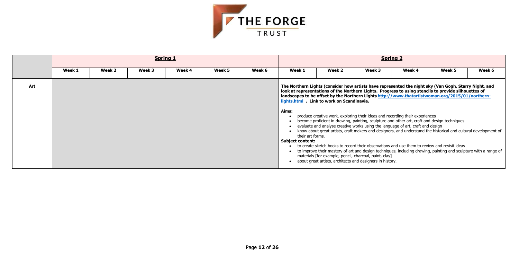

|     |        |        |        | <b>Spring 1</b> |        |        |                                                      |                                                                                                                                                                                                                                                                                                                                                                                                                                                                                                                                                                                                                                                                                                                                                                                                                                                                                                                                                                                                                                                                                                 |        | <b>Spring 2</b> |        |        |
|-----|--------|--------|--------|-----------------|--------|--------|------------------------------------------------------|-------------------------------------------------------------------------------------------------------------------------------------------------------------------------------------------------------------------------------------------------------------------------------------------------------------------------------------------------------------------------------------------------------------------------------------------------------------------------------------------------------------------------------------------------------------------------------------------------------------------------------------------------------------------------------------------------------------------------------------------------------------------------------------------------------------------------------------------------------------------------------------------------------------------------------------------------------------------------------------------------------------------------------------------------------------------------------------------------|--------|-----------------|--------|--------|
|     | Week 1 | Week 2 | Week 3 | Week 4          | Week 5 | Week 6 | Week 1                                               | Week 2                                                                                                                                                                                                                                                                                                                                                                                                                                                                                                                                                                                                                                                                                                                                                                                                                                                                                                                                                                                                                                                                                          | Week 3 | Week 4          | Week 5 | Week 6 |
| Art |        |        |        |                 |        |        | Aims:<br>their art forms.<br><b>Subject content:</b> | The Northern Lights (consider how artists have represented the night sky (Van Gogh, Starry Night, and<br>look at representations of the Northern Lights. Progress to using stencils to provide silhouettes of<br>landscapes to be offset by the Northern Lights http://www.thatartistwoman.org/2015/01/northern-<br>lights.html . Link to work on Scandinavia.<br>produce creative work, exploring their ideas and recording their experiences<br>become proficient in drawing, painting, sculpture and other art, craft and design techniques<br>evaluate and analyse creative works using the language of art, craft and design<br>know about great artists, craft makers and designers, and understand the historical and cultural development of<br>to create sketch books to record their observations and use them to review and revisit ideas<br>to improve their mastery of art and design techniques, including drawing, painting and sculpture with a range of<br>materials [for example, pencil, charcoal, paint, clay]<br>about great artists, architects and designers in history. |        |                 |        |        |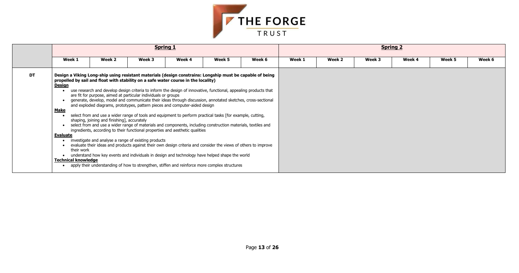

|           |                                                                                                                                                                                                                                                                                                |                                             |                                                                                                                                                                                                                                                                                                                                                                                                                                                                                                                                                                                                                                                                                                                                                                                                                                                                                                                                                                                                                                                                                 | <b>Spring 1</b> |        |        |        |        |        | <b>Spring 2</b> |        |        |
|-----------|------------------------------------------------------------------------------------------------------------------------------------------------------------------------------------------------------------------------------------------------------------------------------------------------|---------------------------------------------|---------------------------------------------------------------------------------------------------------------------------------------------------------------------------------------------------------------------------------------------------------------------------------------------------------------------------------------------------------------------------------------------------------------------------------------------------------------------------------------------------------------------------------------------------------------------------------------------------------------------------------------------------------------------------------------------------------------------------------------------------------------------------------------------------------------------------------------------------------------------------------------------------------------------------------------------------------------------------------------------------------------------------------------------------------------------------------|-----------------|--------|--------|--------|--------|--------|-----------------|--------|--------|
|           | Week 1                                                                                                                                                                                                                                                                                         | Week 2                                      | Week 3                                                                                                                                                                                                                                                                                                                                                                                                                                                                                                                                                                                                                                                                                                                                                                                                                                                                                                                                                                                                                                                                          | Week 4          | Week 5 | Week 6 | Week 1 | Week 2 | Week 3 | Week 4          | Week 5 | Week 6 |
| <b>DT</b> | Design a Viking Long-ship using resistant materials (design constrains: Longship must be capable of being<br>propelled by sail and float with stability on a safe water course in the locality)<br><u>Design</u><br><b>Make</b><br><b>Evaluate</b><br>their work<br><b>Technical knowledge</b> | shaping, joining and finishing], accurately | use research and develop design criteria to inform the design of innovative, functional, appealing products that<br>are fit for purpose, aimed at particular individuals or groups<br>generate, develop, model and communicate their ideas through discussion, annotated sketches, cross-sectional<br>and exploded diagrams, prototypes, pattern pieces and computer-aided design<br>select from and use a wider range of tools and equipment to perform practical tasks [for example, cutting,<br>select from and use a wider range of materials and components, including construction materials, textiles and<br>ingredients, according to their functional properties and aesthetic qualities<br>investigate and analyse a range of existing products<br>evaluate their ideas and products against their own design criteria and consider the views of others to improve<br>understand how key events and individuals in design and technology have helped shape the world<br>apply their understanding of how to strengthen, stiffen and reinforce more complex structures |                 |        |        |        |        |        |                 |        |        |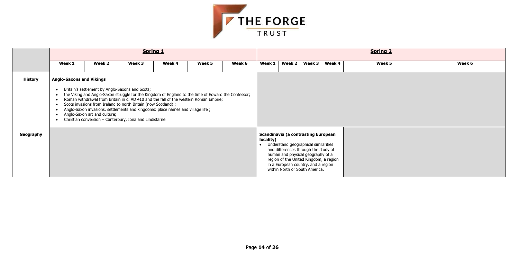

|                |                                 |                              |                                                                                                                                                                                                                                                               | <b>Spring 1</b> |                                                                                                                                                                                             |                                                                                                                                                                                                                                                                                    |        |        |        |        | <b>Spring 2</b> |        |
|----------------|---------------------------------|------------------------------|---------------------------------------------------------------------------------------------------------------------------------------------------------------------------------------------------------------------------------------------------------------|-----------------|---------------------------------------------------------------------------------------------------------------------------------------------------------------------------------------------|------------------------------------------------------------------------------------------------------------------------------------------------------------------------------------------------------------------------------------------------------------------------------------|--------|--------|--------|--------|-----------------|--------|
|                | Week 1                          | Week 2                       | Week 3                                                                                                                                                                                                                                                        | Week 4          | Week 5                                                                                                                                                                                      | Week 6                                                                                                                                                                                                                                                                             | Week 1 | Week 2 | Week 3 | Week 4 | Week 5          | Week 6 |
| <b>History</b> | <b>Anglo-Saxons and Vikings</b> | Anglo-Saxon art and culture; | Britain's settlement by Anglo-Saxons and Scots;<br>Scots invasions from Ireland to north Britain (now Scotland);<br>Anglo-Saxon invasions, settlements and kingdoms: place names and village life;<br>Christian conversion - Canterbury, Iona and Lindisfarne |                 | the Viking and Anglo-Saxon struggle for the Kingdom of England to the time of Edward the Confessor;<br>Roman withdrawal from Britain in c. AD 410 and the fall of the western Roman Empire; |                                                                                                                                                                                                                                                                                    |        |        |        |        |                 |        |
| Geography      |                                 |                              |                                                                                                                                                                                                                                                               |                 | locality)                                                                                                                                                                                   | <b>Scandinavia (a contrasting European</b><br>Understand geographical similarities<br>and differences through the study of<br>human and physical geography of a<br>region of the United Kingdom, a region<br>in a European country, and a region<br>within North or South America. |        |        |        |        |                 |        |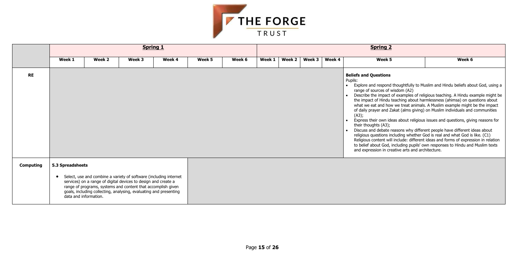

|                  |                  |                                                                                                                                                                                                                                                                                                   |        | <b>Spring 1</b> |        |        |        |        |        |        | <b>Spring 2</b>                                                                                                                                                  |                                                                                                                                                                                                                                                                                                                                                                                                                                                                                                                                                                                                                                                                                                                                                                                                                                             |
|------------------|------------------|---------------------------------------------------------------------------------------------------------------------------------------------------------------------------------------------------------------------------------------------------------------------------------------------------|--------|-----------------|--------|--------|--------|--------|--------|--------|------------------------------------------------------------------------------------------------------------------------------------------------------------------|---------------------------------------------------------------------------------------------------------------------------------------------------------------------------------------------------------------------------------------------------------------------------------------------------------------------------------------------------------------------------------------------------------------------------------------------------------------------------------------------------------------------------------------------------------------------------------------------------------------------------------------------------------------------------------------------------------------------------------------------------------------------------------------------------------------------------------------------|
|                  | Week 1           | Week 2                                                                                                                                                                                                                                                                                            | Week 3 | Week 4          | Week 5 | Week 6 | Week 1 | Week 2 | Week 3 | Week 4 | Week 5                                                                                                                                                           | Week 6                                                                                                                                                                                                                                                                                                                                                                                                                                                                                                                                                                                                                                                                                                                                                                                                                                      |
| <b>RE</b>        |                  |                                                                                                                                                                                                                                                                                                   |        |                 |        |        |        |        |        |        | <b>Beliefs and Questions</b><br>Pupils:<br>range of sources of wisdom (A2)<br>(A3);<br>their thoughts (A3);<br>and expression in creative arts and architecture. | Explore and respond thoughtfully to Muslim and Hindu beliefs about God, using a<br>Describe the impact of examples of religious teaching. A Hindu example might be<br>the impact of Hindu teaching about harmlessness (ahimsa) on questions about<br>what we eat and how we treat animals. A Muslim example might be the impact<br>of daily prayer and Zakat (alms giving) on Muslim individuals and communities<br>Express their own ideas about religious issues and questions, giving reasons for<br>Discuss and debate reasons why different people have different ideas about<br>religious questions including whether God is real and what God is like. (C1)<br>Religious content will include: different ideas and forms of expression in relation<br>to belief about God, including pupils' own responses to Hindu and Muslim texts |
| <b>Computing</b> | 5.3 Spreadsheets | Select, use and combine a variety of software (including internet<br>services) on a range of digital devices to design and create a<br>range of programs, systems and content that accomplish given<br>goals, including collecting, analysing, evaluating and presenting<br>data and information. |        |                 |        |        |        |        |        |        |                                                                                                                                                                  |                                                                                                                                                                                                                                                                                                                                                                                                                                                                                                                                                                                                                                                                                                                                                                                                                                             |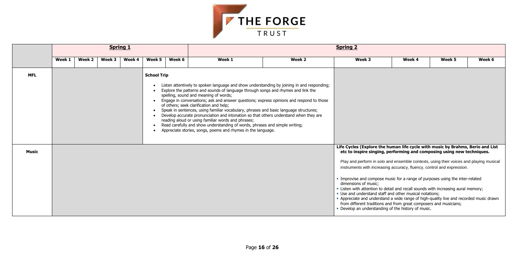

|              |        |        |        | <b>Spring 1</b> |                                 |        |                                                                                                                                                                                                                                                                                                                                                                                                                                                                                                                                                                                                                                                                                                                                                        |        | <b>Spring 2</b>                                                                                                                                                                                                                                                                                                                                                                                                                                                                                                                                                                                                                                                                                                                                                                                             |        |        |        |
|--------------|--------|--------|--------|-----------------|---------------------------------|--------|--------------------------------------------------------------------------------------------------------------------------------------------------------------------------------------------------------------------------------------------------------------------------------------------------------------------------------------------------------------------------------------------------------------------------------------------------------------------------------------------------------------------------------------------------------------------------------------------------------------------------------------------------------------------------------------------------------------------------------------------------------|--------|-------------------------------------------------------------------------------------------------------------------------------------------------------------------------------------------------------------------------------------------------------------------------------------------------------------------------------------------------------------------------------------------------------------------------------------------------------------------------------------------------------------------------------------------------------------------------------------------------------------------------------------------------------------------------------------------------------------------------------------------------------------------------------------------------------------|--------|--------|--------|
|              | Week 1 | Week 2 | Week 3 | Week 4          | Week 5                          | Week 6 | Week 1                                                                                                                                                                                                                                                                                                                                                                                                                                                                                                                                                                                                                                                                                                                                                 | Week 2 | Week 3                                                                                                                                                                                                                                                                                                                                                                                                                                                                                                                                                                                                                                                                                                                                                                                                      | Week 4 | Week 5 | Week 6 |
| <b>MFL</b>   |        |        |        |                 | <b>School Trip</b><br>$\bullet$ |        | Listen attentively to spoken language and show understanding by joining in and responding;<br>Explore the patterns and sounds of language through songs and rhymes and link the<br>spelling, sound and meaning of words;<br>Engage in conversations; ask and answer questions; express opinions and respond to those<br>of others; seek clarification and help;<br>Speak in sentences, using familiar vocabulary, phrases and basic language structures;<br>Develop accurate pronunciation and intonation so that others understand when they are<br>reading aloud or using familiar words and phrases;<br>Read carefully and show understanding of words, phrases and simple writing;<br>Appreciate stories, songs, poems and rhymes in the language. |        |                                                                                                                                                                                                                                                                                                                                                                                                                                                                                                                                                                                                                                                                                                                                                                                                             |        |        |        |
| <b>Music</b> |        |        |        |                 |                                 |        |                                                                                                                                                                                                                                                                                                                                                                                                                                                                                                                                                                                                                                                                                                                                                        |        | Life Cycles (Explore the human life cycle with music by Brahms, Berio and List<br>etc to inspire singing, performing and composing using new techniques.<br>Play and perform in solo and ensemble contexts, using their voices and playing musical<br>instruments with increasing accuracy, fluency, control and expression.<br>• Improvise and compose music for a range of purposes using the inter-related<br>dimensions of music;<br>. Listen with attention to detail and recall sounds with increasing aural memory;<br>. Use and understand staff and other musical notations;<br>- Appreciate and understand a wide range of high-quality live and recorded music drawn<br>from different traditions and from great composers and musicians;<br>• Develop an understanding of the history of music. |        |        |        |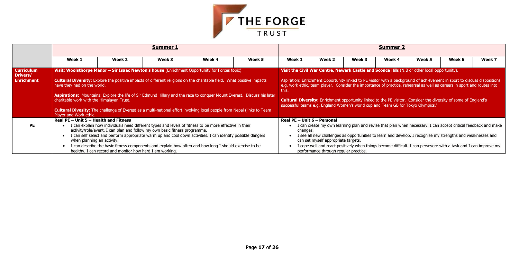

|                                                    |                                                                                                    |                                                                                                                                                                                                                                                                                                                                                                                                                                                                                             | <b>Summer 1</b> |        |        |                                                                                                                                                                                                                                                                                                                                                                                                                                                                                                                                                                      |                                                                                                                                                                                                                                                                                                                                                                                                                                                                             |        | <b>Summer 2</b> |        |        |        |
|----------------------------------------------------|----------------------------------------------------------------------------------------------------|---------------------------------------------------------------------------------------------------------------------------------------------------------------------------------------------------------------------------------------------------------------------------------------------------------------------------------------------------------------------------------------------------------------------------------------------------------------------------------------------|-----------------|--------|--------|----------------------------------------------------------------------------------------------------------------------------------------------------------------------------------------------------------------------------------------------------------------------------------------------------------------------------------------------------------------------------------------------------------------------------------------------------------------------------------------------------------------------------------------------------------------------|-----------------------------------------------------------------------------------------------------------------------------------------------------------------------------------------------------------------------------------------------------------------------------------------------------------------------------------------------------------------------------------------------------------------------------------------------------------------------------|--------|-----------------|--------|--------|--------|
|                                                    | Week 1                                                                                             | Week 2                                                                                                                                                                                                                                                                                                                                                                                                                                                                                      | Week 3          | Week 4 | Week 5 | Week 1                                                                                                                                                                                                                                                                                                                                                                                                                                                                                                                                                               | Week 2                                                                                                                                                                                                                                                                                                                                                                                                                                                                      | Week 3 | Week 4          | Week 5 | Week 6 | Week 7 |
| <b>Curriculum</b><br>Drivers/<br><b>Enrichment</b> | have they had on the world.<br>charitable work with the Himalayan Trust.<br>Player and Work ethic. | Visit: Woolsthorpe Manor - Sir Isaac Newton's house (Enrichment Opportunity for Forces topic)<br><b>Cultural Diversity:</b> Explore the positive impacts of different religions on the charitable field. What positive impacts<br>Aspirations: Mountains: Explore the life of Sir Edmund Hillary and the race to conquer Mount Everest. Discuss his later<br><b>Cultural Divesity:</b> The challenge of Everest as a multi-national effort involving local people from Nepal (links to Team |                 |        | this.  | Visit the Civil War Centre, Newark Castle and Sconce Hills (N.B or other local opportunity).<br>Aspiration: Enrichment Opportunity linked to PE visitor with a background of achievement in sport to discuss dispositions<br>e.g. work ethic, team player. Consider the importance of practice, rehearsal as well as careers in sport and routes into<br><b>Cultural Diversity:</b> Enrichment opportunity linked to the PE visitor. Consider the diversity of some of England's<br>successful teams e.g. England Women's world cup and Team GB for Tokyo Olympics.' |                                                                                                                                                                                                                                                                                                                                                                                                                                                                             |        |                 |        |        |        |
| <b>PE</b>                                          | Real PE - Unit 5 - Health and Fitness<br>when planning an activity.                                | I can explain how individuals need different types and levels of fitness to be more effective in their<br>activity/role/event. I can plan and follow my own basic fitness programme.<br>I can self select and perform appropriate warm up and cool down activities. I can identify possible dangers<br>I can describe the basic fitness components and explain how often and how long I should exercise to be<br>healthy. I can record and monitor how hard I am working.                   |                 |        |        |                                                                                                                                                                                                                                                                                                                                                                                                                                                                                                                                                                      | Real PE - Unit 6 - Personal<br>I can create my own learning plan and revise that plan when necessary. I can accept critical feedback and make<br>changes.<br>I see all new challenges as opportunities to learn and develop. I recognise my strengths and weaknesses and<br>can set myself appropriate targets.<br>I cope well and react positively when things become difficult. I can persevere with a task and I can improve my<br>performance through regular practice. |        |                 |        |        |        |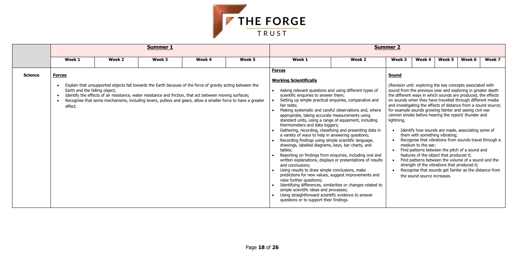

|                |                                                           |        | <b>Summer 1</b>                                                                                                                                                                                                                                                                                                                        |        |        |                                                                                                                                                                                                                                                                                                                                                                                                                                                                                                                                                                                                                                                                                                                                                                                                                                                                                                                                                                                  |                                                                                                                                                                                       | <b>Summer 2</b>                                                                                                                                                                                                                                                                                                                                                                                                                                                           |                                                                                                                                                                                 |        |                                                                                                                                                                                                                                                                                    |        |
|----------------|-----------------------------------------------------------|--------|----------------------------------------------------------------------------------------------------------------------------------------------------------------------------------------------------------------------------------------------------------------------------------------------------------------------------------------|--------|--------|----------------------------------------------------------------------------------------------------------------------------------------------------------------------------------------------------------------------------------------------------------------------------------------------------------------------------------------------------------------------------------------------------------------------------------------------------------------------------------------------------------------------------------------------------------------------------------------------------------------------------------------------------------------------------------------------------------------------------------------------------------------------------------------------------------------------------------------------------------------------------------------------------------------------------------------------------------------------------------|---------------------------------------------------------------------------------------------------------------------------------------------------------------------------------------|---------------------------------------------------------------------------------------------------------------------------------------------------------------------------------------------------------------------------------------------------------------------------------------------------------------------------------------------------------------------------------------------------------------------------------------------------------------------------|---------------------------------------------------------------------------------------------------------------------------------------------------------------------------------|--------|------------------------------------------------------------------------------------------------------------------------------------------------------------------------------------------------------------------------------------------------------------------------------------|--------|
|                | Week 1                                                    | Week 2 | Week 3                                                                                                                                                                                                                                                                                                                                 | Week 4 | Week 5 | Week 1                                                                                                                                                                                                                                                                                                                                                                                                                                                                                                                                                                                                                                                                                                                                                                                                                                                                                                                                                                           | Week 2                                                                                                                                                                                | Week 3                                                                                                                                                                                                                                                                                                                                                                                                                                                                    | Week 4                                                                                                                                                                          | Week 5 | Week 6                                                                                                                                                                                                                                                                             | Week 7 |
| <b>Science</b> | <b>Forces</b><br>Earth and the falling object;<br>effect. |        | Explain that unsupported objects fall towards the Earth because of the force of gravity acting between the<br>Identify the effects of air resistance, water resistance and friction, that act between moving surfaces;<br>Recognise that some mechanisms, including levers, pulleys and gears, allow a smaller force to have a greater |        |        | <b>Forces</b><br><b>Working Scientifically</b><br>Asking relevant questions and using different types of<br>scientific enquiries to answer them;<br>Setting up simple practical enquiries, comparative and<br>fair tests;<br>Making systematic and careful observations and, where<br>appropriate, taking accurate measurements using<br>standard units, using a range of equipment, including<br>thermometers and data loggers;<br>Gathering, recording, classifying and presenting data in<br>a variety of ways to help in answering questions;<br>Recording findings using simple scientific language,<br>drawings, labelled diagrams, keys, bar charts, and<br>tables;<br>and conclusions;<br>Using results to draw simple conclusions, make<br>predictions for new values, suggest improvements and<br>raise further questions;<br>simple scientific ideas and processes;<br>Using straightforward scientific evidence to answer<br>questions or to support their findings. | Reporting on findings from enquiries, including oral and<br>written explanations, displays or presentations of results<br>Identifying differences, similarities or changes related to | <b>Sound</b><br>(Revision unit: exploring the key concepts associated with<br>sound from the previous year and exploring in greater depth<br>the different ways in which sounds are produced, the effects<br>on sounds when they have travelled through different media<br>and investigating the effects of distance from a sound source;<br>for example sounds growing fainter and seeing civil war<br>cannon smoke before hearing the report/ thunder and<br>lightning. | them with something vibrating;<br>medium to the ear;<br>features of the object that produced it;<br>strength of the vibrations that produced it;<br>the sound source increases. |        | Identify how sounds are made, associating some of<br>Recognise that vibrations from sounds travel through a<br>• Find patterns between the pitch of a sound and<br>• Find patterns between the volume of a sound and the<br>Recognise that sounds get fainter as the distance from |        |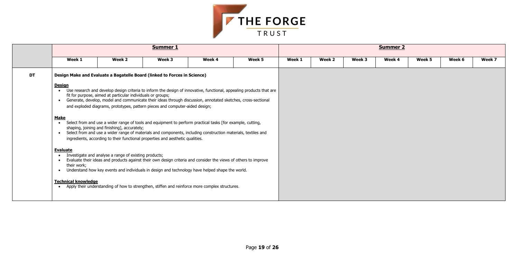

|           |                                                          |                                                             | Summer 1                                                                                                                                                                                                                                                                                                     |        |        |        |        |        | <b>Summer 2</b> |        |        |        |
|-----------|----------------------------------------------------------|-------------------------------------------------------------|--------------------------------------------------------------------------------------------------------------------------------------------------------------------------------------------------------------------------------------------------------------------------------------------------------------|--------|--------|--------|--------|--------|-----------------|--------|--------|--------|
|           | Week 1                                                   | Week 2                                                      | Week 3                                                                                                                                                                                                                                                                                                       | Week 4 | Week 5 | Week 1 | Week 2 | Week 3 | Week 4          | Week 5 | Week 6 | Week 7 |
| <b>DT</b> | <u>Design</u><br>$\bullet$                               | fit for purpose, aimed at particular individuals or groups; | Design Make and Evaluate a Bagatelle Board (linked to Forces in Science)<br>Use research and develop design criteria to inform the design of innovative, functional, appealing products that are                                                                                                             |        |        |        |        |        |                 |        |        |        |
|           | $\bullet$<br><b>Make</b>                                 |                                                             | Generate, develop, model and communicate their ideas through discussion, annotated sketches, cross-sectional<br>and exploded diagrams, prototypes, pattern pieces and computer-aided design;<br>• Select from and use a wider range of tools and equipment to perform practical tasks [for example, cutting, |        |        |        |        |        |                 |        |        |        |
|           | $\bullet$                                                | shaping, joining and finishing], accurately;                | Select from and use a wider range of materials and components, including construction materials, textiles and<br>ingredients, according to their functional properties and aesthetic qualities.                                                                                                              |        |        |        |        |        |                 |        |        |        |
|           | <b>Evaluate</b><br>$\bullet$<br>their work;<br>$\bullet$ | Investigate and analyse a range of existing products;       | Evaluate their ideas and products against their own design criteria and consider the views of others to improve<br>Understand how key events and individuals in design and technology have helped shape the world.                                                                                           |        |        |        |        |        |                 |        |        |        |
|           | <b>Technical knowledge</b>                               |                                                             | Apply their understanding of how to strengthen, stiffen and reinforce more complex structures.                                                                                                                                                                                                               |        |        |        |        |        |                 |        |        |        |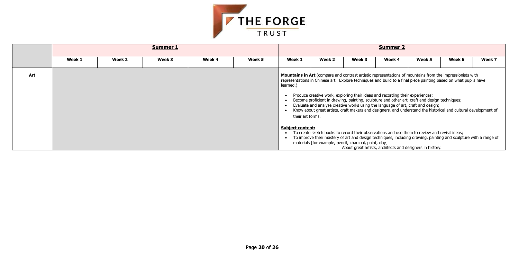| Week 5                                                                                                             | Week 6                                                                          | Week 7 |  |  |  |  |  |  |  |
|--------------------------------------------------------------------------------------------------------------------|---------------------------------------------------------------------------------|--------|--|--|--|--|--|--|--|
|                                                                                                                    | untains from the impressionists with<br>iece painting based on what pupils have |        |  |  |  |  |  |  |  |
| :xperiences;<br>raft and design techniques;<br>aft and design;<br>stand the historical and cultural development of |                                                                                 |        |  |  |  |  |  |  |  |
| to review and revisit ideas;                                                                                       | drawing, painting and sculpture with a range of                                 |        |  |  |  |  |  |  |  |
| igners in history.                                                                                                 |                                                                                 |        |  |  |  |  |  |  |  |



|     |        |        | <b>Summer 2</b> |        |        |                                                   |                                                        |        |                                                                                                                                                                                                                                                                                                                                                                                                                                                                                                                                                                                                                               |        |        |        |
|-----|--------|--------|-----------------|--------|--------|---------------------------------------------------|--------------------------------------------------------|--------|-------------------------------------------------------------------------------------------------------------------------------------------------------------------------------------------------------------------------------------------------------------------------------------------------------------------------------------------------------------------------------------------------------------------------------------------------------------------------------------------------------------------------------------------------------------------------------------------------------------------------------|--------|--------|--------|
|     | Week 1 | Week 2 | Week 3          | Week 4 | Week 5 | Week 1                                            | Week 2                                                 | Week 3 | Week 4                                                                                                                                                                                                                                                                                                                                                                                                                                                                                                                                                                                                                        | Week 5 | Week 6 | Week 7 |
| Art |        |        |                 |        |        | learned.)<br>their art forms.                     |                                                        |        | <b>Mountains in Art</b> (compare and contrast artistic representations of mountains from the impressionists with<br>representations in Chinese art. Explore techniques and build to a final piece painting based on what pupils have<br>Produce creative work, exploring their ideas and recording their experiences;<br>Become proficient in drawing, painting, sculpture and other art, craft and design techniques;<br>Evaluate and analyse creative works using the language of art, craft and design;<br>Know about great artists, craft makers and designers, and understand the historical and cultural development of |        |        |        |
|     |        |        |                 |        |        | <b>Subject content:</b><br>$\bullet$<br>$\bullet$ | materials [for example, pencil, charcoal, paint, clay] |        | To create sketch books to record their observations and use them to review and revisit ideas;<br>To improve their mastery of art and design techniques, including drawing, painting and sculpture with a range of<br>About great artists, architects and designers in history.                                                                                                                                                                                                                                                                                                                                                |        |        |        |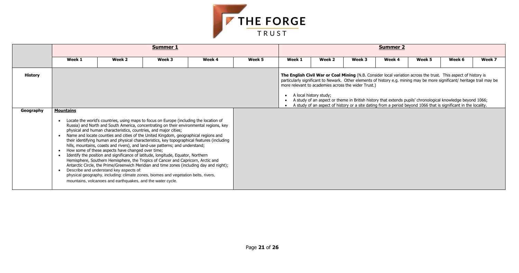

|                |                                                                                   |                                                                                                                                                                                                                                                                                                                                                                                                                                                                                                                                                                                                                                                                                                                                                                                                                                                                                                                                                                                                                                                    | <b>Summer 1</b> |        |        |           |                                                                               |        | <b>Summer 2</b>                                                                                                                                                                                                                                                                                                                                                                                                                                                              |        |        |        |
|----------------|-----------------------------------------------------------------------------------|----------------------------------------------------------------------------------------------------------------------------------------------------------------------------------------------------------------------------------------------------------------------------------------------------------------------------------------------------------------------------------------------------------------------------------------------------------------------------------------------------------------------------------------------------------------------------------------------------------------------------------------------------------------------------------------------------------------------------------------------------------------------------------------------------------------------------------------------------------------------------------------------------------------------------------------------------------------------------------------------------------------------------------------------------|-----------------|--------|--------|-----------|-------------------------------------------------------------------------------|--------|------------------------------------------------------------------------------------------------------------------------------------------------------------------------------------------------------------------------------------------------------------------------------------------------------------------------------------------------------------------------------------------------------------------------------------------------------------------------------|--------|--------|--------|
|                | Week 1                                                                            | Week 2                                                                                                                                                                                                                                                                                                                                                                                                                                                                                                                                                                                                                                                                                                                                                                                                                                                                                                                                                                                                                                             | Week 3          | Week 4 | Week 5 | Week 1    | Week 2                                                                        | Week 3 | Week 4                                                                                                                                                                                                                                                                                                                                                                                                                                                                       | Week 5 | Week 6 | Week 7 |
| <b>History</b> |                                                                                   |                                                                                                                                                                                                                                                                                                                                                                                                                                                                                                                                                                                                                                                                                                                                                                                                                                                                                                                                                                                                                                                    |                 |        |        | $\bullet$ | more relevant to academies across the wider Trust.)<br>A local history study; |        | The English Civil War or Coal Mining (N.B. Consider local variation across the trust. This aspect of history is<br>particularly significant to Newark. Other elements of history e.g. mining may be more significant/ heritage trail may be<br>A study of an aspect or theme in British history that extends pupils' chronological knowledge beyond 1066;<br>A study of an aspect of history or a site dating from a period beyond 1066 that is significant in the locality. |        |        |        |
| Geography      | <b>Mountains</b><br>$\bullet$<br>$\bullet$<br>$\bullet$<br>$\bullet$<br>$\bullet$ | Locate the world's countries, using maps to focus on Europe (including the location of<br>Russia) and North and South America, concentrating on their environmental regions, key<br>physical and human characteristics, countries, and major cities;<br>Name and locate counties and cities of the United Kingdom, geographical regions and<br>their identifying human and physical characteristics, key topographical features (including<br>hills, mountains, coasts and rivers), and land-use patterns; and understand;<br>How some of these aspects have changed over time;<br>Identify the position and significance of latitude, longitude, Equator, Northern<br>Hemisphere, Southern Hemisphere, the Tropics of Cancer and Capricorn, Arctic and<br>Antarctic Circle, the Prime/Greenwich Meridian and time zones (including day and night);<br>Describe and understand key aspects of:<br>physical geography, including: climate zones, biomes and vegetation belts, rivers,<br>mountains, volcanoes and earthquakes, and the water cycle. |                 |        |        |           |                                                                               |        |                                                                                                                                                                                                                                                                                                                                                                                                                                                                              |        |        |        |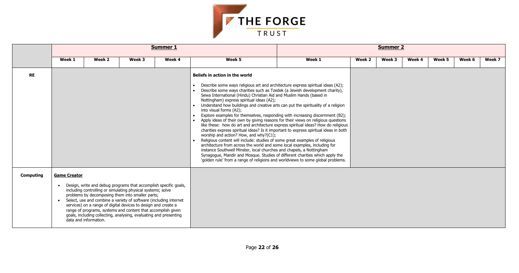| eek 4 | Week 5 | Week 6 | Week 7 |
|-------|--------|--------|--------|
|       |        |        |        |
|       |        |        |        |
|       |        |        |        |
|       |        |        |        |
|       |        |        |        |
|       |        |        |        |
|       |        |        |        |
|       |        |        |        |
|       |        |        |        |
|       |        |        |        |
|       |        |        |        |
|       |        |        |        |
|       |        |        |        |
|       |        |        |        |
|       |        |        |        |



|                  |                     |                                                                                                                                                                                                                                                                                                                                                                                                                                                                                            |        | <b>Summer 1</b> |                                                                                                                                                                                                                                                                                                                                                                                                                                                                                                                                                                                                                                                                                                                                                                                                                                                                                                                                                                                                                                                                                                                                                                                                                                           | <b>Summer 2</b> |        |        |        |        |        |        |
|------------------|---------------------|--------------------------------------------------------------------------------------------------------------------------------------------------------------------------------------------------------------------------------------------------------------------------------------------------------------------------------------------------------------------------------------------------------------------------------------------------------------------------------------------|--------|-----------------|-------------------------------------------------------------------------------------------------------------------------------------------------------------------------------------------------------------------------------------------------------------------------------------------------------------------------------------------------------------------------------------------------------------------------------------------------------------------------------------------------------------------------------------------------------------------------------------------------------------------------------------------------------------------------------------------------------------------------------------------------------------------------------------------------------------------------------------------------------------------------------------------------------------------------------------------------------------------------------------------------------------------------------------------------------------------------------------------------------------------------------------------------------------------------------------------------------------------------------------------|-----------------|--------|--------|--------|--------|--------|--------|
|                  | Week 1              | Week 2                                                                                                                                                                                                                                                                                                                                                                                                                                                                                     | Week 3 | Week 4          | Week 5                                                                                                                                                                                                                                                                                                                                                                                                                                                                                                                                                                                                                                                                                                                                                                                                                                                                                                                                                                                                                                                                                                                                                                                                                                    | Week 1          | Week 2 | Week 3 | Week 4 | Week 5 | Week 6 | Week 7 |
| <b>RE</b>        |                     |                                                                                                                                                                                                                                                                                                                                                                                                                                                                                            |        |                 | Beliefs in action in the world<br>Describe some ways religious art and architecture express spiritual ideas (A2);<br>Describe some ways charities such as Tzedek (a Jewish development charity),<br>Sewa International (Hindu) Christian Aid and Muslim Hands (based in<br>Nottingham) express spiritual ideas (A2);<br>Understand how buildings and creative arts can put the spirituality of a religion<br>into visual forms (A2);<br>Explore examples for themselves, responding with increasing discernment (B2);<br>Apply ideas of their own by giving reasons for their views on religious questions<br>like these: how do art and architecture express spiritual ideas? How do religious<br>charities express spiritual ideas? Is it important to express spiritual ideas in both<br>worship and action? How, and why?(C1);<br>Religious content will include: studies of some great examples of religious<br>architecture from across the world and some local examples, including for<br>instance Southwell Minster, local churches and chapels, a Nottingham<br>Synagogue, Mandir and Mosque. Studies of different charities which apply the<br>'golden rule' from a range of religions and worldviews to some global problems. |                 |        |        |        |        |        |        |
| <b>Computing</b> | <b>Game Creator</b> | Design, write and debug programs that accomplish specific goals,<br>including controlling or simulating physical systems; solve<br>problems by decomposing them into smaller parts;<br>• Select, use and combine a variety of software (including internet<br>services) on a range of digital devices to design and create a<br>range of programs, systems and content that accomplish given<br>goals, including collecting, analysing, evaluating and presenting<br>data and information. |        |                 |                                                                                                                                                                                                                                                                                                                                                                                                                                                                                                                                                                                                                                                                                                                                                                                                                                                                                                                                                                                                                                                                                                                                                                                                                                           |                 |        |        |        |        |        |        |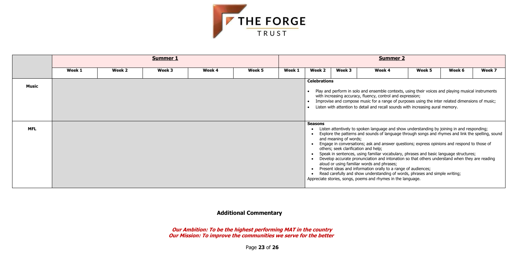Page **23** of **26**



|            |        |        | <b>Summer 1</b> |        |        |        |                     |                                                               |                                                                                                                                                                                                                                                                                                                                                                                                                                                                                                                                                                                                                                                                                                                                                        |        |        |        |
|------------|--------|--------|-----------------|--------|--------|--------|---------------------|---------------------------------------------------------------|--------------------------------------------------------------------------------------------------------------------------------------------------------------------------------------------------------------------------------------------------------------------------------------------------------------------------------------------------------------------------------------------------------------------------------------------------------------------------------------------------------------------------------------------------------------------------------------------------------------------------------------------------------------------------------------------------------------------------------------------------------|--------|--------|--------|
|            | Week 1 | Week 2 | Week 3          | Week 4 | Week 5 | Week 1 | Week 2              | Week 3                                                        | Week 4                                                                                                                                                                                                                                                                                                                                                                                                                                                                                                                                                                                                                                                                                                                                                 | Week 5 | Week 6 | Week 7 |
| Music      |        |        |                 |        |        |        | <b>Celebrations</b> |                                                               | Play and perform in solo and ensemble contexts, using their voices and playing musical instruments<br>with increasing accuracy, fluency, control and expression;<br>Improvise and compose music for a range of purposes using the inter related dimensions of music;<br>Listen with attention to detail and recall sounds with increasing aural memory.                                                                                                                                                                                                                                                                                                                                                                                                |        |        |        |
| <b>MFL</b> |        |        |                 |        |        |        | <b>Seasons</b>      | and meaning of words;<br>others; seek clarification and help; | Listen attentively to spoken language and show understanding by joining in and responding;<br>Explore the patterns and sounds of language through songs and rhymes and link the spelling, sound<br>Engage in conversations; ask and answer questions; express opinions and respond to those of<br>Speak in sentences, using familiar vocabulary, phrases and basic language structures;<br>Develop accurate pronunciation and intonation so that others understand when they are reading<br>aloud or using familiar words and phrases;<br>Present ideas and information orally to a range of audiences;<br>Read carefully and show understanding of words, phrases and simple writing;<br>Appreciate stories, songs, poems and rhymes in the language. |        |        |        |

 **Additional Commentary**

**Our Ambition: To be the highest performing MAT in the country Our Mission: To improve the communities we serve for the better**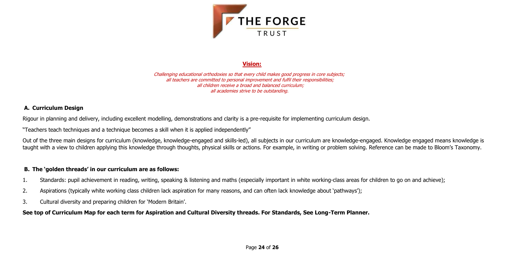

# **Vision:**

Challenging educational orthodoxies so that every child makes good progress in core subjects; all teachers are committed to personal improvement and fulfil their responsibilities; all children receive a broad and balanced curriculum; all academies strive to be outstanding.

Out of the three main designs for curriculum (knowledge, knowledge-engaged and skills-led), all subjects in our curriculum are knowledge-engaged. Knowledge engaged means knowledge is taught with a view to children applying this knowledge through thoughts, physical skills or actions. For example, in writing or problem solving. Reference can be made to Bloom's Taxonomy.

# **A. Curriculum Design**

Rigour in planning and delivery, including excellent modelling, demonstrations and clarity is a pre-requisite for implementing curriculum design.

"Teachers teach techniques and a technique becomes a skill when it is applied independently"

# **B. The 'golden threads' in our curriculum are as follows:**

- 1. Standards: pupil achievement in reading, writing, speaking & listening and maths (especially important in white working-class areas for children to go on and achieve);
- 2. Aspirations (typically white working class children lack aspiration for many reasons, and can often lack knowledge about 'pathways');
- 3. Cultural diversity and preparing children for 'Modern Britain'.

# **See top of Curriculum Map for each term for Aspiration and Cultural Diversity threads. For Standards, See Long-Term Planner.**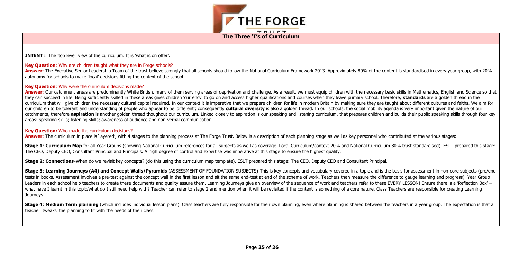

**The Three 'I's of Curriculum**

**INTENT :** The 'top level' view of the curriculum. It is 'what is on offer'.

#### **Key Question:** Why are children taught what they are in Forge schools?

Answer: The Executive Senior Leadership Team of the trust believe strongly that all schools should follow the National Curriculum Framework 2013. Approximately 80% of the content is standardised in every year group, with 2 autonomy for schools to make 'local' decisions fitting the context of the school.

#### **Key Question**: Why were the curriculum decisions made?

Answer: Our catchment areas are predominantly White British, many of them serving areas of deprivation and challenge. As a result, we must equip children with the necessary basic skills in Mathematics, English and Science they can succeed in life. Being sufficiently skilled in these areas gives children 'currency' to go on and access higher qualifications and courses when they leave primary school. Therefore, standards are a golden thread i curriculum that will give children the necessary cultural capital required. In our context it is imperative that we prepare children for life in modern Britain by making sure they are taught about different cultures and fa our children to be tolerant and understanding of people who appear to be 'different'; consequently cultural diversity is also a golden thread. In our schools, the social mobility agenda is very important given the nature o catchments, therefore aspiration is another golden thread thoughout our curriculum. Linked closely to aspiration is our speaking and listening curriculum, that prepares children and builds their public speaking skills thro areas: speaking skills; listening skills; awareness of audience and non-verbal communication.

Stage 1: Curriculum Map for all Year Groups (showing National Curriculum references for all subjects as well as coverage. Local Curriculum/context 20% and National Curriculum 80% trust standardised). ESLT prepared this sta The CEO, Deputy CEO, Consultant Principal and Principals. A high degree of control and expertise was imperative at this stage to ensure the highest quality.

Stage 3: Learning Journeys (A4) and Concept Walls/Pyramids (ASSESSMENT OF FOUNDATION SUBJECTS)-This is key concepts and vocabulary covered in a topic and is the basis for assessment in non-core subjects (pre/end tests in books. Assessment involves a pre-test against the concept wall in the first lesson and sit the same end-test at end of the scheme of work. Teachers then measure the difference to gauge learning and progress). Year Leaders in each school help teachers to create these documents and quality assure them. Learning Journeys give an overview of the sequence of work and teachers refer to these EVERY LESSON! Ensure there is a 'Reflection Box what have I learnt in this topic/what do I still need help with? Teacher can refer to stage 2 and mention when it will be revisited if the content is something of a core nature. Class Teachers are responsible for creating Journeys.

#### **Key Question:** Who made the curriculum decisions?

**Answer:** The curriculum in place is 'layered', with 4 stages to the planning process at The Forge Trust. Below is a description of each planning stage as well as key personnel who contributed at the various stages:

Stage 4: Medium Term planning (which includes individual lesson plans). Class teachers are fully responsible for their own planning, even where planning is shared between the teachers in a year group. The expectation is th teacher 'tweaks' the planning to fit with the needs of their class.

**Stage 2**: **Connections-**When do we revisit key concepts? (do this using the curriculum map template). ESLT prepared this stage: The CEO, Deputy CEO and Consultant Principal.